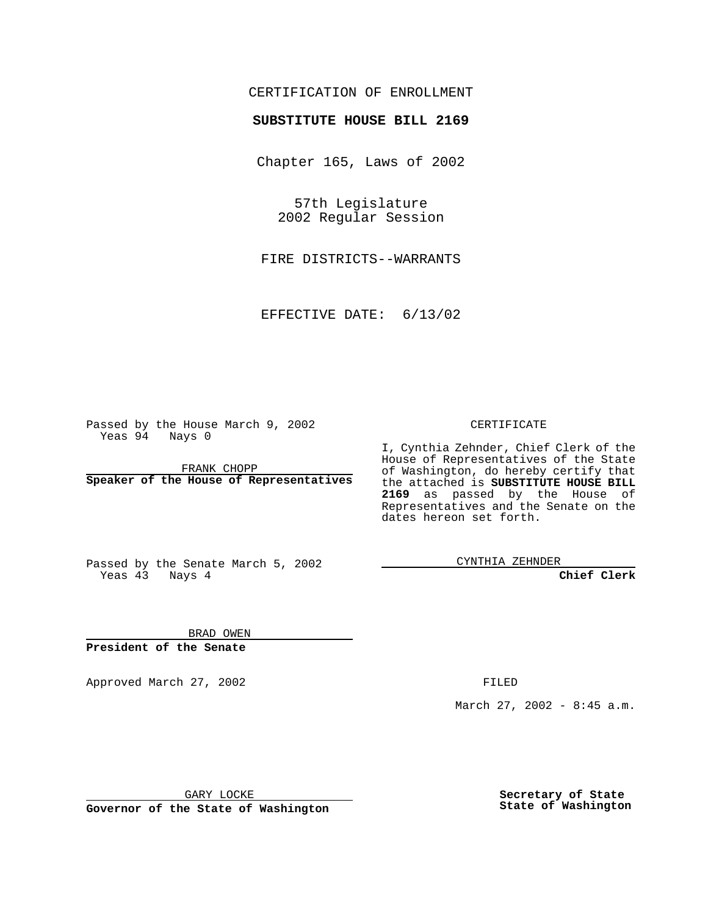## CERTIFICATION OF ENROLLMENT

## **SUBSTITUTE HOUSE BILL 2169**

Chapter 165, Laws of 2002

57th Legislature 2002 Regular Session

FIRE DISTRICTS--WARRANTS

EFFECTIVE DATE: 6/13/02

Passed by the House March 9, 2002 Yeas 94 Nays 0

FRANK CHOPP **Speaker of the House of Representatives** CERTIFICATE

I, Cynthia Zehnder, Chief Clerk of the House of Representatives of the State of Washington, do hereby certify that the attached is **SUBSTITUTE HOUSE BILL 2169** as passed by the House of Representatives and the Senate on the dates hereon set forth.

Passed by the Senate March 5, 2002 Yeas 43 Nays 4

CYNTHIA ZEHNDER

**Chief Clerk**

BRAD OWEN **President of the Senate**

Approved March 27, 2002 **FILED** 

March 27, 2002 - 8:45 a.m.

GARY LOCKE

**Governor of the State of Washington**

**Secretary of State State of Washington**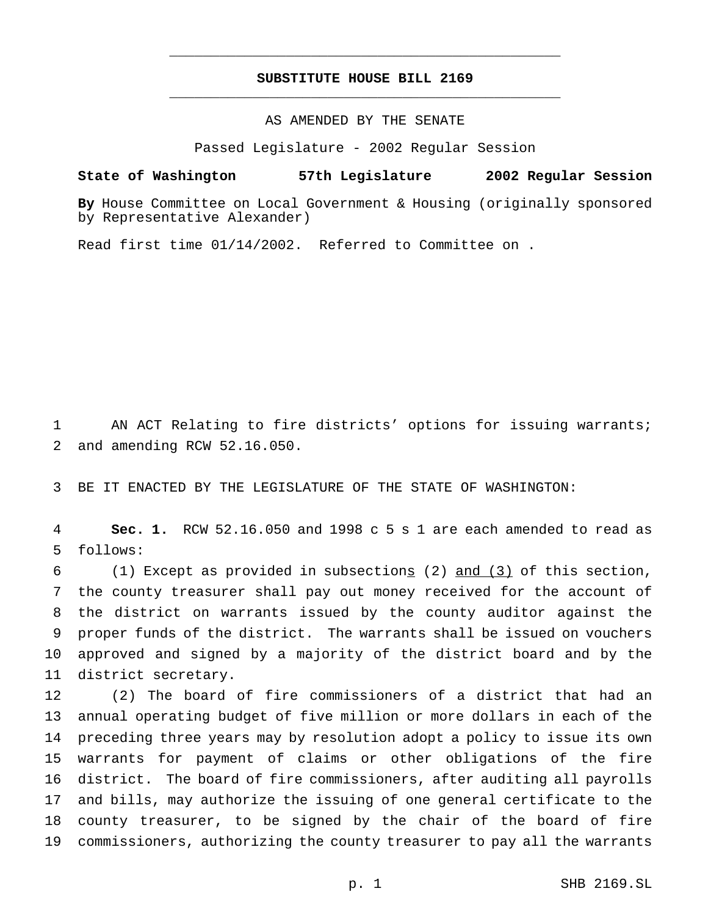## **SUBSTITUTE HOUSE BILL 2169** \_\_\_\_\_\_\_\_\_\_\_\_\_\_\_\_\_\_\_\_\_\_\_\_\_\_\_\_\_\_\_\_\_\_\_\_\_\_\_\_\_\_\_\_\_\_\_

\_\_\_\_\_\_\_\_\_\_\_\_\_\_\_\_\_\_\_\_\_\_\_\_\_\_\_\_\_\_\_\_\_\_\_\_\_\_\_\_\_\_\_\_\_\_\_

AS AMENDED BY THE SENATE

Passed Legislature - 2002 Regular Session

## **State of Washington 57th Legislature 2002 Regular Session**

**By** House Committee on Local Government & Housing (originally sponsored by Representative Alexander)

Read first time 01/14/2002. Referred to Committee on .

1 AN ACT Relating to fire districts' options for issuing warrants; and amending RCW 52.16.050.

BE IT ENACTED BY THE LEGISLATURE OF THE STATE OF WASHINGTON:

 **Sec. 1.** RCW 52.16.050 and 1998 c 5 s 1 are each amended to read as follows:

 (1) Except as provided in subsections (2) and (3) of this section, the county treasurer shall pay out money received for the account of the district on warrants issued by the county auditor against the proper funds of the district. The warrants shall be issued on vouchers approved and signed by a majority of the district board and by the district secretary.

 (2) The board of fire commissioners of a district that had an annual operating budget of five million or more dollars in each of the preceding three years may by resolution adopt a policy to issue its own warrants for payment of claims or other obligations of the fire district. The board of fire commissioners, after auditing all payrolls and bills, may authorize the issuing of one general certificate to the county treasurer, to be signed by the chair of the board of fire commissioners, authorizing the county treasurer to pay all the warrants